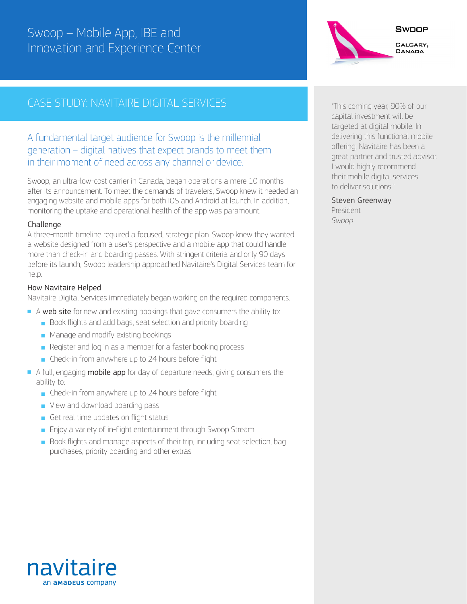## Swoop – Mobile App, IBE and Innovation and Experience Center

# SWOOP CALGARY, CANADA

## CASE STUDY: NAVITAIRE DIGITAL SERVICES THE CONSTRUCT OF This coming year, 90% of our

### A fundamental target audience for Swoop is the millennial generation – digital natives that expect brands to meet them in their moment of need across any channel or device.

Swoop, an ultra-low-cost carrier in Canada, began operations a mere 10 months after its announcement. To meet the demands of travelers, Swoop knew it needed an engaging website and mobile apps for both iOS and Android at launch. In addition, monitoring the uptake and operational health of the app was paramount.

### Challenge

A three-month timeline required a focused, strategic plan. Swoop knew they wanted a website designed from a user's perspective and a mobile app that could handle more than check-in and boarding passes. With stringent criteria and only 90 days before its launch, Swoop leadership approached Navitaire's Digital Services team for help.

### How Navitaire Helped

Navitaire Digital Services immediately began working on the required components:

- A web site for new and existing bookings that gave consumers the ability to:
	- Book flights and add bags, seat selection and priority boarding
	- Manage and modify existing bookings
	- Register and log in as a member for a faster booking process
	- Check-in from anywhere up to 24 hours before flight
- A full, engaging **mobile app** for day of departure needs, giving consumers the ability to:
	- Check-in from anywhere up to 24 hours before flight
	- View and download boarding pass
	- Get real time updates on flight status
	- Enjoy a variety of in-flight entertainment through Swoop Stream
	- Book flights and manage aspects of their trip, including seat selection, bag purchases, priority boarding and other extras

capital investment will be targeted at digital mobile. In delivering this functional mobile offering, Navitaire has been a great partner and trusted advisor. I would highly recommend their mobile digital services to deliver solutions."

Steven Greenway

President *Swoop*